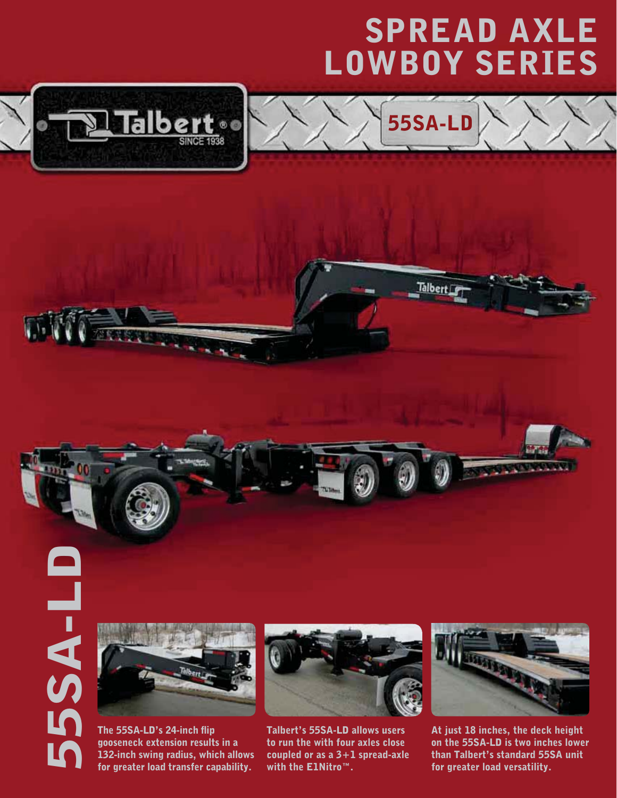## **SPREAD AXLE LOWBOY SERIES**

**55SA-LD**

Talbert [







The 55SA-LD's 24-inch flip gooseneck extension results in a 132-inch swing radius, which allows for greater load transfer capability.



Talbert's 55SA-LD allows users to run the with four axles close coupled or as a 3+1 spread-axle with the E1Nitro™.



At just 18 inches, the deck height on the 55SA-LD is two inches lower than Talbert's standard 55SA unit for greater load versatility.